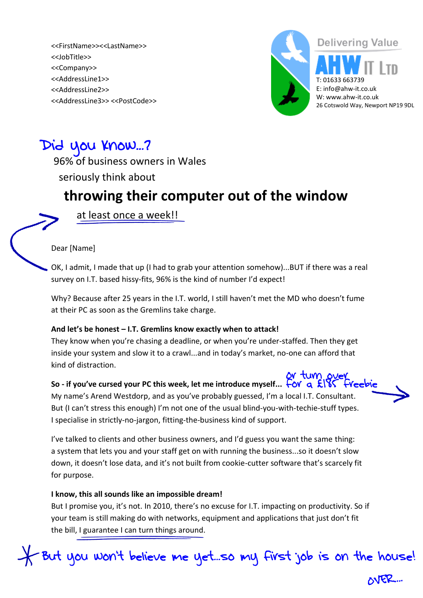<<FirstName>><<LastName>> <<JobTitle>> <<Company>> <<AddressLine1>> <<AddressLine2>> <<AddressLine3>> <<PostCode>>



## Did you Know...?

96% of business owners in Wales seriously think about

## **throwing their computer out of the window**

at least once a week!!

Dear [Name]

OK, I admit, I made that up (I had to grab your attention somehow)...BUT if there was a real survey on I.T. based hissy-fits, 96% is the kind of number I'd expect!

Why? Because after 25 years in the I.T. world, I still haven't met the MD who doesn't fume at their PC as soon as the Gremlins take charge.

#### **And let's be honest – I.T. Gremlins know exactly when to attack!**

They know when you're chasing a deadline, or when you're under-staffed. Then they get inside your system and slow it to a crawl...and in today's market, no-one can afford that kind of distraction.

#### or tum over **So - if you've cursed your PC this week, let me introduce myself...**

My name's Arend Westdorp, and as you've probably guessed, I'm a local I.T. Consultant. But (I can't stress this enough) I'm not one of the usual blind-you-with-techie-stuff types. I specialise in strictly-no-jargon, fitting-the-business kind of support.

I've talked to clients and other business owners, and I'd guess you want the same thing: a system that lets you and your staff get on with running the business...so it doesn't slow down, it doesn't lose data, and it's not built from cookie-cutter software that's scarcely fit for purpose.

#### **I know, this all sounds like an impossible dream!**

But I promise you, it's not. In 2010, there's no excuse for I.T. impacting on productivity. So if your team is still making do with networks, equipment and applications that just don't fit the bill, I guarantee I can turn things around.

But you won't believe me yet...so my first job is on the house!